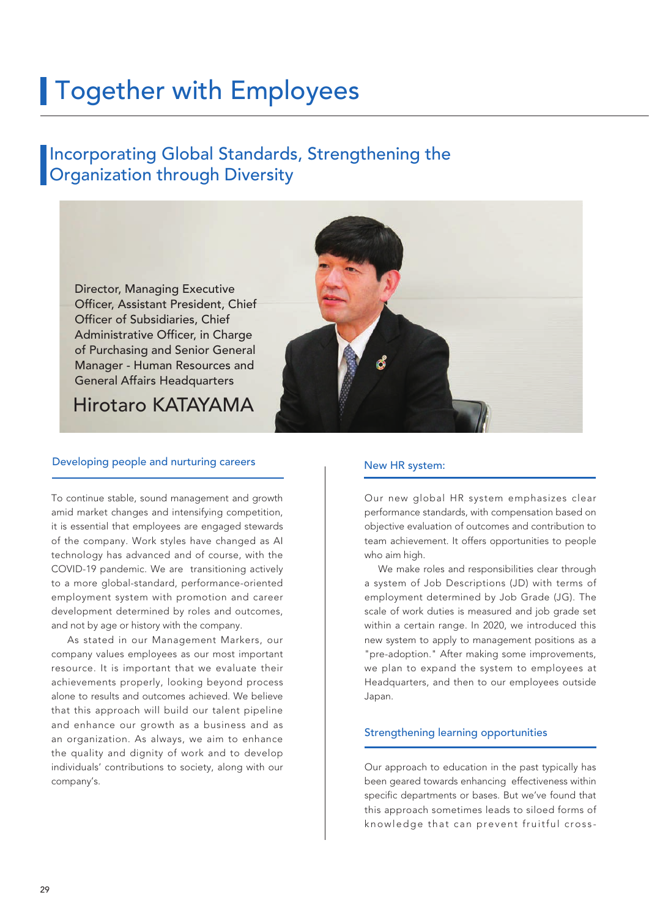# **Together with Employees**

### Incorporating Global Standards, Strengthening the **Organization through Diversity**

Director, Managing Executive Officer, Assistant President, Chief Officer of Subsidiaries, Chief Administrative Officer, in Charge of Purchasing and Senior General Manager - Human Resources and General Affairs Headquarters

Hirotaro KATAYAMA

#### Developing people and nurturing careers

To continue stable, sound management and growth amid market changes and intensifying competition, it is essential that employees are engaged stewards of the company. Work styles have changed as AI technology has advanced and of course, with the COVID-19 pandemic. We are transitioning actively to a more global-standard, performance-oriented employment system with promotion and career development determined by roles and outcomes, and not by age or history with the company.

 As stated in our Management Markers, our company values employees as our most important resource. It is important that we evaluate their achievements properly, looking beyond process alone to results and outcomes achieved. We believe that this approach will build our talent pipeline and enhance our growth as a business and as an organization. As always, we aim to enhance the quality and dignity of work and to develop individuals' contributions to society, along with our company's.



#### New HR system:

Our new global HR system emphasizes clear performance standards, with compensation based on objective evaluation of outcomes and contribution to team achievement. It offers opportunities to people who aim high.

We make roles and responsibilities clear through a system of Job Descriptions (JD) with terms of employment determined by Job Grade (JG). The scale of work duties is measured and job grade set within a certain range. In 2020, we introduced this new system to apply to management positions as a "pre-adoption." After making some improvements, we plan to expand the system to employees at Headquarters, and then to our employees outside Japan.

#### Strengthening learning opportunities

Our approach to education in the past typically has been geared towards enhancing effectiveness within specific departments or bases. But we've found that this approach sometimes leads to siloed forms of knowledge that can prevent fruitful cross